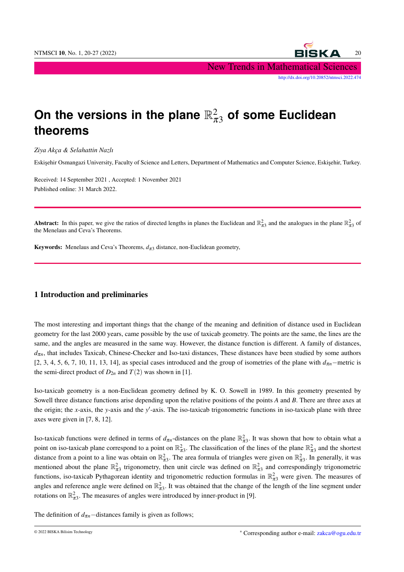NTMSCI 10, No. 1, 20-27 (2022) 20 New Trends in Mathematical Sciences [http://dx.doi.org/10.20852/ntmsci.2022.474]( http://dx.doi.org/10.20852/ntmsci.2022.474)

# On the versions in the plane  $\mathbb{R}^2_{\pi 3}$  of some Euclidean **theorems**

*Ziya Akça & Selahattin Nazlı*

Eskisehir Osmangazi University, Faculty of Science and Letters, Department of Mathematics and Computer Science, Eskisehir, Turkey.

Received: 14 September 2021 , Accepted: 1 November 2021 Published online: 31 March 2022.

Abstract: In this paper, we give the ratios of directed lengths in planes the Euclidean and  $\mathbb{R}^2_{\pi 3}$  and the analogues in the plane  $\mathbb{R}^2_{\pi 3}$  of the Menelaus and Ceva's Theorems.

**Keywords:** Menelaus and Ceva's Theorems,  $d_{\pi}$ 3 distance, non-Euclidean geometry,

#### 1 Introduction and preliminaries

The most interesting and important things that the change of the meaning and definition of distance used in Euclidean geometry for the last 2000 years, came possible by the use of taxicab geometry. The points are the same, the lines are the same, and the angles are measured in the same way. However, the distance function is different. A family of distances,  $d_{\pi n}$ , that includes Taxicab, Chinese-Checker and Iso-taxi distances, These distances have been studied by some authors [2, 3, 4, 5, 6, 7, 10, 11, 13, 14], as special cases introduced and the group of isometries of the plane with  $d_{\pi n}$ −metric is the semi-direct product of  $D_{2n}$  and  $T(2)$  was shown in [1].

Iso-taxicab geometry is a non-Euclidean geometry defined by K. O. Sowell in 1989. In this geometry presented by Sowell three distance functions arise depending upon the relative positions of the points *A* and *B*. There are three axes at the origin; the *x*-axis, the *y*-axis and the *y*'-axis. The iso-taxicab trigonometric functions in iso-taxicab plane with three axes were given in [7, 8, 12].

Iso-taxicab functions were defined in terms of  $d_{\pi n}$ -distances on the plane  $\mathbb{R}^2_{\pi 3}$ . It was shown that how to obtain what a point on iso-taxicab plane correspond to a point on  $\mathbb{R}^2_{\pi 3}$ . The classification of the lines of the plane  $\mathbb{R}^2_{\pi 3}$  and the shortest distance from a point to a line was obtain on  $\mathbb{R}^2_{\pi 3}$ . The area formula of triangles were given on  $\mathbb{R}^2_{\pi 3}$ . In generally, it was mentioned about the plane  $\mathbb{R}^2_{\pi 3}$  trigonometry, then unit circle was defined on  $\mathbb{R}^2_{\pi 3}$  and correspondingly trigonometric functions, iso-taxicab Pythagorean identity and trigonometric reduction formulas in  $\mathbb{R}^2_{\pi 3}$  were given. The measures of angles and reference angle were defined on  $\mathbb{R}^2_{\pi 3}$ . It was obtained that the change of the length of the line segment under rotations on  $\mathbb{R}^2_{\pi 3}$ . The measures of angles were introduced by inner-product in [9].

The definition of  $d_{\pi n}$ −distances family is given as follows;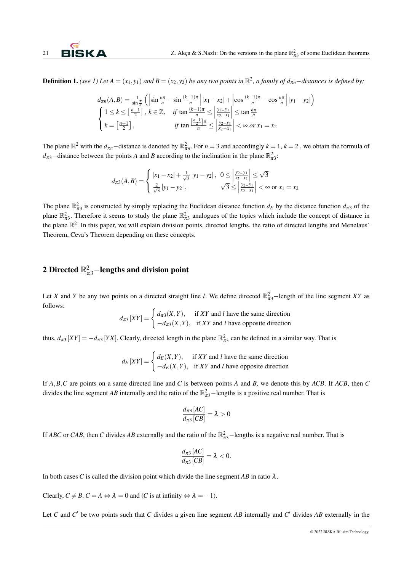**Definition 1.** *(see 1) Let*  $A = (x_1, y_1)$  *and*  $B = (x_2, y_2)$  *be any two points in*  $\mathbb{R}^2$ *, a family of*  $d_{\pi n}$ –*distances is defined by*;

$$
d_{\pi n}(A, B) = \frac{1}{\sin \frac{\pi}{n}} \left( \left| \sin \frac{k\pi}{n} - \sin \frac{(k-1)\pi}{n} \right| |x_1 - x_2| + \left| \cos \frac{(k-1)\pi}{n} - \cos \frac{k\pi}{n} \right| |y_1 - y_2| \right)
$$
  

$$
\begin{cases} 1 \le k \le \left[ \frac{n-1}{2} \right], \ k \in \mathbb{Z}, \quad \text{if } \tan \frac{(k-1)\pi}{n} \le \left| \frac{y_2 - y_1}{x_2 - x_1} \right| \le \tan \frac{k\pi}{n} \\ k = \left[ \frac{n+1}{2} \right], \quad \text{if } \tan \frac{\left[ \frac{n-1}{2} \right] \pi}{n} \le \left| \frac{y_2 - y_1}{x_2 - x_1} \right| < \infty \text{ or } x_1 = x_2 \end{cases}
$$

The plane  $\mathbb{R}^2$  with the  $d_{\pi n}$ –distance is denoted by  $\mathbb{R}^2_{\pi n}$ . For  $n = 3$  and accordingly  $k = 1, k = 2$ , we obtain the formula of  $d_{\pi 3}$ −distance between the points *A* and *B* according to the inclination in the plane  $\mathbb{R}^2_{\pi 3}$ :

$$
d_{\pi 3}(A,B) = \begin{cases} |x_1 - x_2| + \frac{1}{\sqrt{3}} |y_1 - y_2|, & 0 \le \left| \frac{y_2 - y_1}{x_2 - x_1} \right| \le \sqrt{3} \\ \frac{2}{\sqrt{3}} |y_1 - y_2|, & \sqrt{3} \le \left| \frac{y_2 - y_1}{x_2 - x_1} \right| < \infty \text{ or } x_1 = x_2 \end{cases}
$$

The plane  $\mathbb{R}^2_{\pi 3}$  is constructed by simply replacing the Euclidean distance function  $d_E$  by the distance function  $d_{\pi 3}$  of the plane  $\mathbb{R}^2_{\pi 3}$ . Therefore it seems to study the plane  $\mathbb{R}^2_{\pi 3}$  analogues of the topics which include the concept of distance in the plane  $\mathbb{R}^2$ . In this paper, we will explain division points, directed lengths, the ratio of directed lengths and Menelaus' Theorem, Ceva's Theorem depending on these concepts.

## 2 Directed  $\mathbb{R}^2_{\pi 3}$ —lengths and division point

Let *X* and *Y* be any two points on a directed straight line *l*. We define directed  $\mathbb{R}^2_{\pi 3}$ —length of the line segment *XY* as follows:

$$
d_{\pi 3}[XY] = \begin{cases} d_{\pi 3}(X,Y), & \text{if } XY \text{ and } l \text{ have the same direction} \\ -d_{\pi 3}(X,Y), & \text{if } XY \text{ and } l \text{ have opposite direction} \end{cases}
$$

thus,  $d_{\pi 3}[XY] = -d_{\pi 3}[YX]$ . Clearly, directed length in the plane  $\mathbb{R}^2_{\pi 3}$  can be defined in a similar way. That is

$$
d_E[XY] = \begin{cases} d_E(X,Y), & \text{if } XY \text{ and } l \text{ have the same direction} \\ -d_E(X,Y), & \text{if } XY \text{ and } l \text{ have opposite direction} \end{cases}
$$

If *A*,*B*,*C* are points on a same directed line and *C* is between points *A* and *B*, we denote this by *ACB*. If *ACB*, then *C* divides the line segment *AB* internally and the ratio of the  $\mathbb{R}^2_{\pi 3}$ -lengths is a positive real number. That is

$$
\frac{d_{\pi 3} [AC]}{d_{\pi 3} [CB]} = \lambda > 0
$$

If *ABC* or *CAB*, then *C* divides *AB* externally and the ratio of the  $\mathbb{R}^2_{\pi 3}$ —lengths is a negative real number. That is

$$
\frac{d_{\pi 3}[AC]}{d_{\pi 3}[CB]} = \lambda < 0.
$$

In both cases *C* is called the division point which divide the line segment *AB* in ratio  $\lambda$ .

Clearly,  $C \neq B$ .  $C = A \Leftrightarrow \lambda = 0$  and (*C* is at infinity  $\Leftrightarrow \lambda = -1$ ).

Let *C* and *C'* be two points such that *C* divides a given line segment *AB* internally and *C'* divides *AB* externally in the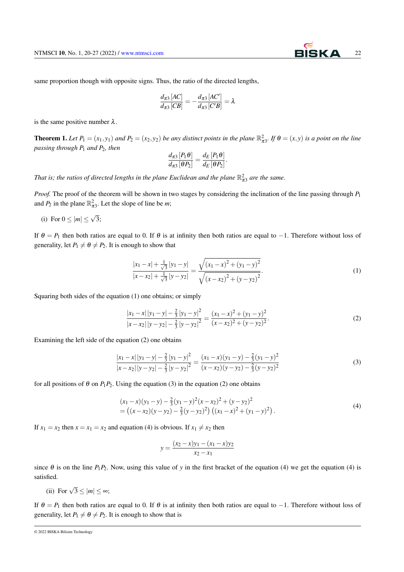same proportion though with opposite signs. Thus, the ratio of the directed lengths,

$$
\frac{d_{\pi3}[AC]}{d_{\pi3}[CB]} = -\frac{d_{\pi3}[AC']}{d_{\pi3}[C'B]} = \lambda
$$

is the same positive number  $\lambda$ .

**Theorem 1.** Let  $P_1 = (x_1, y_1)$  and  $P_2 = (x_2, y_2)$  be any distinct points in the plane  $\mathbb{R}^2_{\pi 3}$ . If  $\theta = (x, y)$  is a point on the line *passing through P*<sup>1</sup> *and P*2*, then*

$$
\frac{d_{\pi3}[P_1\theta]}{d_{\pi3}[\theta P_2]} = \frac{d_E[P_1\theta]}{d_E[\theta P_2]}.
$$

*That is; the ratios of directed lengths in the plane Euclidean and the plane*  $\mathbb{R}^2_{\pi3}$  *are the same.* 

*Proof.* The proof of the theorem will be shown in two stages by considering the inclination of the line passing through *P*<sup>1</sup> and  $P_2$  in the plane  $\mathbb{R}^2_{\pi 3}$ . Let the slope of line be *m*;

(i) For  $0 \leq |m| \leq$ √ 3;

If  $\theta = P_1$  then both ratios are equal to 0. If  $\theta$  is at infinity then both ratios are equal to −1. Therefore without loss of generality, let  $P_1 \neq \theta \neq P_2$ . It is enough to show that

$$
\frac{|x_1 - x| + \frac{1}{\sqrt{3}} |y_1 - y|}{|x - x_2| + \frac{1}{\sqrt{3}} |y - y_2|} = \frac{\sqrt{(x_1 - x)^2 + (y_1 - y)^2}}{\sqrt{(x - x_2)^2 + (y - y_2)^2}}.
$$
\n(1)

Squaring both sides of the equation (1) one obtains; or simply

$$
\frac{|x_1 - x| |y_1 - y| - \frac{2}{3} |y_1 - y|^2}{|x - x_2| |y - y_2| - \frac{2}{3} |y - y_2|^2} = \frac{(x_1 - x)^2 + (y_1 - y)^2}{(x - x_2)^2 + (y - y_2)^2}.
$$
\n(2)

Examining the left side of the equation (2) one obtains

$$
\frac{|x_1 - x| |y_1 - y| - \frac{2}{3} |y_1 - y|^2}{|x - x_2| |y - y_2| - \frac{2}{3} |y - y_2|^2} = \frac{(x_1 - x)(y_1 - y) - \frac{2}{3} (y_1 - y)^2}{(x - x_2)(y - y_2) - \frac{2}{3} (y - y_2)^2}
$$
(3)

for all positions of  $\theta$  on  $P_1P_2$ . Using the equation (3) in the equation (2) one obtains

$$
(x_1 - x)(y_1 - y) - \frac{2}{3}(y_1 - y)^2(x - x_2)^2 + (y - y_2)^2
$$
  
= ((x - x<sub>2</sub>)(y - y<sub>2</sub>) - \frac{2}{3}(y - y<sub>2</sub>)<sup>2</sup>) ((x<sub>1</sub> - x)<sup>2</sup> + (y<sub>1</sub> - y)<sup>2</sup>). (4)

If  $x_1 = x_2$  then  $x = x_1 = x_2$  and equation (4) is obvious. If  $x_1 \neq x_2$  then

$$
y = \frac{(x_2 - x)y_1 - (x_1 - x)y_2}{x_2 - x_1}
$$

since  $\theta$  is on the line  $P_1P_2$ . Now, using this value of *y* in the first bracket of the equation (4) we get the equation (4) is satisfied.

(ii) For  $\sqrt{3} \le |m| \le \infty$ ;

If  $\theta = P_1$  then both ratios are equal to 0. If  $\theta$  is at infinity then both ratios are equal to −1. Therefore without loss of generality, let  $P_1 \neq \theta \neq P_2$ . It is enough to show that is

© 2022 BISKA Bilisim Technology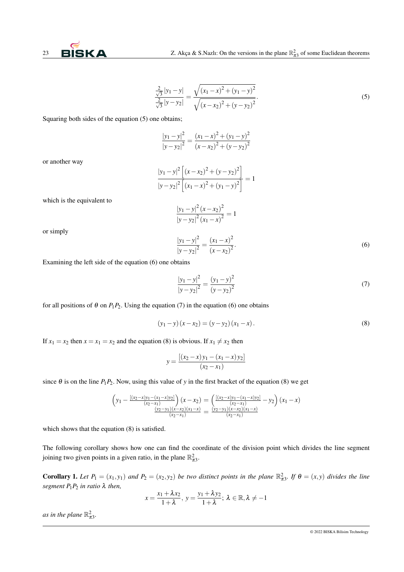$$
\frac{\frac{2}{\sqrt{3}}|y_1 - y|}{\frac{2}{\sqrt{3}}|y - y_2|} = \frac{\sqrt{(x_1 - x)^2 + (y_1 - y)^2}}{\sqrt{(x - x_2)^2 + (y - y_2)^2}}.
$$
\n(5)

Squaring both sides of the equation (5) one obtains;

$$
\frac{|y_1 - y|^2}{|y - y_2|^2} = \frac{(x_1 - x)^2 + (y_1 - y)^2}{(x - x_2)^2 + (y - y_2)^2}
$$

or another way

$$
\frac{|y_1 - y|^2 \left[ (x - x_2)^2 + (y - y_2)^2 \right]}{|y - y_2|^2 \left[ (x_1 - x)^2 + (y_1 - y)^2 \right]} = 1
$$
\n
$$
\frac{|y_1 - y|^2 (x - x_2)^2}{|y - y_2|^2 (x_1 - x)^2} = 1
$$
\n
$$
\frac{|y_1 - y|^2}{|y - y_2|^2} = \frac{(x_1 - x)^2}{(x - x_2)^2}.
$$
\n(6)

or simply

which is the equivalent to

Examining the left side of the equation (6) one obtains

$$
\frac{|y_1 - y|^2}{|y - y_2|^2} = \frac{(y_1 - y)^2}{(y - y_2)^2}
$$
\n(7)

for all positions of  $\theta$  on  $P_1P_2$ . Using the equation (7) in the equation (6) one obtains

$$
(y_1 - y)(x - x_2) = (y - y_2)(x_1 - x).
$$
 (8)

If  $x_1 = x_2$  then  $x = x_1 = x_2$  and the equation (8) is obvious. If  $x_1 \neq x_2$  then

$$
y = \frac{[(x_2 - x)y_1 - (x_1 - x)y_2]}{(x_2 - x_1)}
$$

since  $\theta$  is on the line  $P_1P_2$ . Now, using this value of *y* in the first bracket of the equation (8) we get

$$
\left(y_1 - \frac{[(x_2 - x)y_1 - (x_1 - x)y_2]}{(x_2 - x_1)}\right)(x - x_2) = \left(\frac{[(x_2 - x)y_1 - (x_1 - x)y_2]}{(x_2 - x_1)} - y_2\right)(x_1 - x)
$$
  

$$
\frac{(y_2 - y_1)(x - x_2)(x_1 - x)}{(x_2 - x_1)} = \frac{(y_2 - y_1)(x - x_2)(x_1 - x)}{(x_2 - x_1)}
$$

which shows that the equation (8) is satisfied.

The following corollary shows how one can find the coordinate of the division point which divides the line segment joining two given points in a given ratio, in the plane  $\mathbb{R}^2_{\pi 3}$ .

**Corollary 1.** Let  $P_1 = (x_1, y_1)$  and  $P_2 = (x_2, y_2)$  be two distinct points in the plane  $\mathbb{R}^2_{\pi 3}$ . If  $\theta = (x, y)$  divides the line *segment*  $P_1P_2$  *in ratio*  $\lambda$  *then,* 

$$
x = \frac{x_1 + \lambda x_2}{1 + \lambda}, y = \frac{y_1 + \lambda y_2}{1 + \lambda}; \lambda \in \mathbb{R}, \lambda \neq -1
$$

*as in the plane*  $\mathbb{R}^2_{\pi 3}$ *.*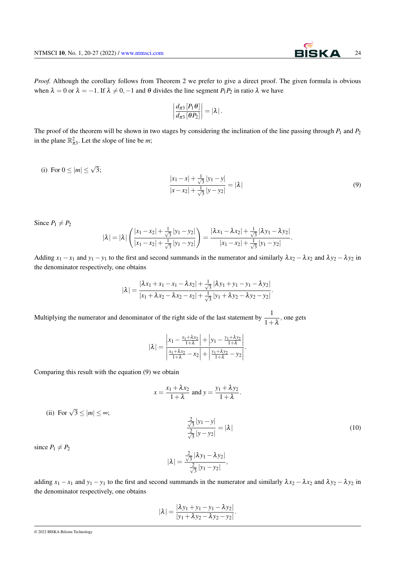

*Proof.* Although the corollary follows from Theorem 2 we prefer to give a direct proof. The given formula is obvious when  $\lambda = 0$  or  $\lambda = -1$ . If  $\lambda \neq 0, -1$  and  $\theta$  divides the line segment  $P_1P_2$  in ratio  $\lambda$  we have

$$
\left|\frac{d_{\pi 3}\left[P_1\theta\right]}{d_{\pi 3}\left[\theta P_2\right]}\right| = \left|\lambda\right|.
$$

The proof of the theorem will be shown in two stages by considering the inclination of the line passing through  $P_1$  and  $P_2$ in the plane  $\mathbb{R}^2_{\pi 3}$ . Let the slope of line be *m*;

(i) For 
$$
0 \le |m| \le \sqrt{3}
$$
;  
\n
$$
\frac{|x_1 - x| + \frac{1}{\sqrt{3}} |y_1 - y|}{|x - x_2| + \frac{1}{\sqrt{3}} |y - y_2|} = |\lambda|
$$
\n(9)

Since  $P_1 \neq P_2$ 

$$
|\lambda| = |\lambda| \left( \frac{|x_1 - x_2| + \frac{1}{\sqrt{3}} |y_1 - y_2|}{|x_1 - x_2| + \frac{1}{\sqrt{3}} |y_1 - y_2|} \right) = \frac{|\lambda x_1 - \lambda x_2| + \frac{1}{\sqrt{3}} |\lambda y_1 - \lambda y_2|}{|x_1 - x_2| + \frac{1}{\sqrt{3}} |y_1 - y_2|}.
$$

Adding  $x_1 - x_1$  and  $y_1 - y_1$  to the first and second summands in the numerator and similarly  $\lambda x_2 - \lambda x_2$  and  $\lambda y_2 - \lambda y_2$  in the denominator respectively, one obtains

$$
|\lambda| = \frac{|\lambda x_1 + x_1 - x_1 - \lambda x_2| + \frac{1}{\sqrt{3}} |\lambda y_1 + y_1 - y_1 - \lambda y_2|}{|x_1 + \lambda x_2 - \lambda x_2 - x_2| + \frac{1}{\sqrt{3}} |y_1 + \lambda y_2 - \lambda y_2 - y_2|}.
$$

Multiplying the numerator and denominator of the right side of the last statement by  $\frac{1}{1+\lambda}$ , one gets

$$
|\lambda| = \frac{\left|x_1 - \frac{x_1 + \lambda x_2}{1 + \lambda}\right| + \left|y_1 - \frac{y_1 + \lambda y_2}{1 + \lambda}\right|}{\left|\frac{x_1 + \lambda x_2}{1 + \lambda} - x_2\right| + \left|\frac{y_1 + \lambda y_2}{1 + \lambda} - y_2\right|}.
$$

Comparing this result with the equation (9) we obtain

$$
x = \frac{x_1 + \lambda x_2}{1 + \lambda}
$$
 and 
$$
y = \frac{y_1 + \lambda y_2}{1 + \lambda}.
$$

$$
\frac{\frac{2}{\sqrt{3}}|y_1 - y|}{\frac{2}{\sqrt{3}}|y - y_2|} = |\lambda|
$$
\n(10)

since  $P_1 \neq P_2$ 

(ii) For  $\sqrt{3} \le |m| \le \infty$ ;

$$
|\lambda| = \frac{\frac{2}{\sqrt{3}} |\lambda y_1 - \lambda y_2|}{\frac{2}{\sqrt{3}} |y_1 - y_2|},
$$

adding  $x_1 - x_1$  and  $y_1 - y_1$  to the first and second summands in the numerator and similarly  $\lambda x_2 - \lambda x_2$  and  $\lambda y_2 - \lambda y_2$  in the denominator respectively, one obtains

$$
|\lambda| = \frac{|\lambda y_1 + y_1 - y_1 - \lambda y_2|}{|y_1 + \lambda y_2 - \lambda y_2 - y_2|}.
$$

© 2022 BISKA Bilisim Technology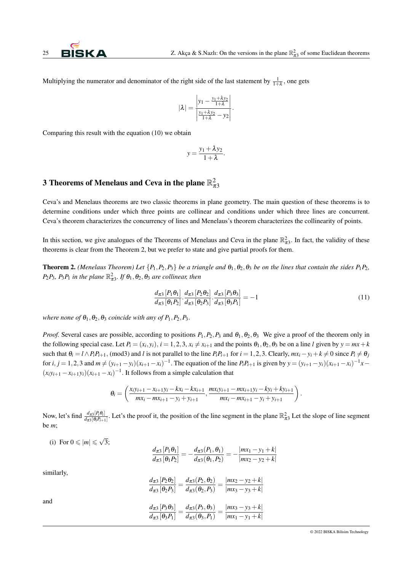Multiplying the numerator and denominator of the right side of the last statement by  $\frac{1}{1+\lambda}$ , one gets

$$
|\lambda| = \frac{\left|y_1 - \frac{y_1 + \lambda y_2}{1 + \lambda}\right|}{\left|\frac{y_1 + \lambda y_2}{1 + \lambda} - y_2\right|}.
$$

Comparing this result with the equation (10) we obtain

$$
y = \frac{y_1 + \lambda y_2}{1 + \lambda}.
$$

## 3 Theorems of Menelaus and Ceva in the plane  $\mathbb{R}^2_{\pi 3}$

Ceva's and Menelaus theorems are two classic theorems in plane geometry. The main question of these theorems is to determine conditions under which three points are collinear and conditions under which three lines are concurrent. Ceva's theorem characterizes the concurrency of lines and Menelaus's theorem characterizes the collinearity of points.

In this section, we give analogues of the Theorems of Menelaus and Ceva in the plane  $\mathbb{R}^2_{\pi 3}$ . In fact, the validity of these theorems is clear from the Theorem 2, but we prefer to state and give partial proofs for them.

**Theorem 2.** *(Menelaus Theorem) Let*  $\{P_1, P_2, P_3\}$  *be a triangle and*  $\theta_1, \theta_2, \theta_3$  *be on the lines that contain the sides*  $P_1P_2$ *,*  $P_2P_3$ ,  $P_3P_1$  *in the plane*  $\mathbb{R}^2_{\pi 3}$ *. If*  $\theta_1$ ,  $\theta_2$ ,  $\theta_3$  *are collinear, then* 

$$
\frac{d_{\pi3}[P_1\theta_1]}{d_{\pi3}[{\theta_1}P_2]}\cdot\frac{d_{\pi3}[P_2\theta_2]}{d_{\pi3}[{\theta_2}P_3]}\cdot\frac{d_{\pi3}[P_3\theta_3]}{d_{\pi3}[{\theta_3}P_1]} = -1
$$
\n(11)

*where none of*  $\theta_1$ ,  $\theta_2$ ,  $\theta_3$  *coincide with any of*  $P_1$ ,  $P_2$ ,  $P_3$ .

*Proof.* Several cases are possible, according to positions  $P_1, P_2, P_3$  and  $\theta_1, \theta_2, \theta_3$ . We give a proof of the theorem only in the following special case. Let  $P_i = (x_i, y_i)$ ,  $i = 1, 2, 3, x_i \neq x_{i+1}$  and the points  $\theta_1, \theta_2, \theta_3$  be on a line l given by  $y = mx + k$ such that  $\theta_i = l \wedge P_i P_{i+1}$ , (mod3) and l is not parallel to the line  $P_i P_{i+1}$  for  $i = 1, 2, 3$ . Clearly,  $mx_i - y_i + k \neq 0$  since  $P_i \neq \theta_i$ for  $i, j = 1, 2, 3$  and  $m \neq (y_{i+1} - y_i)(x_{i+1} - x_i)^{-1}$ . The equation of the line  $P_i P_{i+1}$  is given by  $y = (y_{i+1} - y_i)(x_{i+1} - x_i)^{-1}x$  $(x_iy_{i+1} - x_{i+1}y_i)(x_{i+1} - x_i)^{-1}$ . It follows from a simple calculation that

$$
\theta_i = \left(\frac{x_iy_{i+1} - x_{i+1}y_i - kx_i - kx_{i+1}}{mx_i - mx_{i+1} - y_i + y_{i+1}}, \frac{mx_iy_{i+1} - mx_{i+1}y_i - ky_i + ky_{i+1}}{mx_i - mx_{i+1} - y_i + y_{i+1}}\right).
$$

Now, let's find  $\frac{d_{\pi 3}[P_i \theta_i]}{d_{\pi 3}[Q_i P_{i,j}]}$  $\frac{d_{\pi3}[P_i\theta_i]}{d_{\pi3}[\theta_iP_{i+1}]}$ . Let's the proof it, the position of the line segment in the plane  $\mathbb{R}^2_{\pi3}$  Let the slope of line segment be *m*;

(i) For 
$$
0 \le |m| \le \sqrt{3}
$$
;

$$
\frac{d_{\pi3}[P_1\theta_1]}{d_{\pi3}[\theta_1P_2]} = -\frac{d_{\pi3}(P_1,\theta_1)}{d_{\pi3}(\theta_1,P_2)} = -\frac{|mx_1 - y_1 + k|}{|mx_2 - y_2 + k|}
$$

similarly,

$$
\frac{d_{\pi3} [P_2 \theta_2]}{d_{\pi3} [\theta_2 P_3]} = \frac{d_{\pi3} (P_2, \theta_2)}{d_{\pi3} (\theta_2, P_3)} = \frac{|mx_2 - y_2 + k|}{|mx_3 - y_3 + k|}
$$
  
and  

$$
\frac{d_{\pi3} [P_3 \theta_3]}{d_{\pi3} [\theta_3 P_1]} = \frac{d_{\pi3} (P_3, \theta_3)}{d_{\pi3} (\theta_3, P_1)} = \frac{|mx_3 - y_3 + k|}{|mx_1 - y_1 + k|}
$$

© 2022 BISKA Bilisim Technology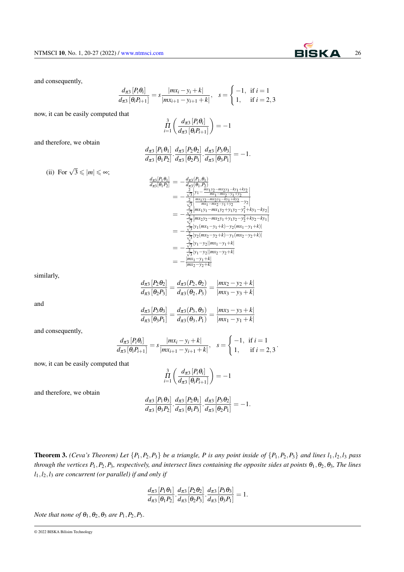and consequently,

$$
\frac{d_{\pi 3}[P_i \theta_i]}{d_{\pi 3}[\theta_i P_{i+1}]} = s \frac{|m x_i - y_i + k|}{|m x_{i+1} - y_{i+1} + k|}, \quad s = \begin{cases} -1, & \text{if } i = 1\\ 1, & \text{if } i = 2, 3 \end{cases}
$$

now, it can be easily computed that

$$
\prod_{i=1}^3 \left( \frac{d_{\pi 3} [P_i \theta_i]}{d_{\pi 3} [\theta_i P_{i+1}]} \right) = -1
$$

and therefore, we obtain

$$
\frac{d_{\pi 3}[P_1\theta_1]}{d_{\pi 3}[{\theta_1}P_2]}\cdot\frac{d_{\pi 3}[P_2\theta_2]}{d_{\pi 3}[{\theta_2}P_3]}\cdot\frac{d_{\pi 3}[P_3\theta_3]}{d_{\pi 3}[{\theta_3}P_1]}=-1.
$$

(ii) For 
$$
\sqrt{3} \le |m| \le \infty
$$
;

$$
\frac{d_{\pi 3}[P_1\theta_1]}{d_{\pi 3}[\theta_1 P_2]} = -\frac{d_{\pi 3}(P_1, \theta_1)}{d_{\pi 3}(\theta_1, P_2)}
$$
\n
$$
= -\frac{\frac{2}{\sqrt{3}}\left|y_1 - \frac{mx_1y_2 - mx_2y_1 - ky_1 + ky_2}{mx_1 - mx_2 - y_1 + y_2}\right|}{\frac{2}{\sqrt{3}}\left|\frac{mx_1y_2 - mx_2y_1 - ky_1 + ky_2}{mx_1 - mx_2 - y_1 + ky_2 - y_2}\right|}
$$
\n
$$
= -\frac{\frac{2}{\sqrt{3}}\left|mx_1y_1 - mx_1y_2 + y_1y_2 - y_1^2 + ky_1 - ky_2\right|}{\frac{2}{\sqrt{3}}\left|mx_2y_2 - mx_2y_1 + y_1y_2 - y_2^2 + ky_2 - ky_1\right|}
$$
\n
$$
= -\frac{\frac{2}{\sqrt{3}}\left|y_1(mx_1 - y_1 + k) - y_2(mx_1 - y_1 + k)\right|}{\frac{2}{\sqrt{3}}\left|y_1 - y_2\right|\left|mx_1 - y_1 + k\right|}
$$
\n
$$
= -\frac{\frac{2}{\sqrt{3}}\left|y_1 - y_2\right|\left|mx_1 - y_1 + k\right|}{\frac{2}{mx_1 - y_1 + k_1}}
$$
\n
$$
= -\frac{\left|\frac{mx_1 - y_1 + k}{mx_2 - y_2 + k}\right|}{\left|\frac{mx_1 - y_1 + k}{mx_2 - y_2 + k\right|}}
$$

similarly,

$$
\frac{d_{\pi3}[P_2\theta_2]}{d_{\pi3}[{\theta_2}P_3]} = \frac{d_{\pi3}(P_2,\theta_2)}{d_{\pi3}(\theta_2,P_3)} = \frac{|mx_2 - y_2 + k|}{|mx_3 - y_3 + k|}
$$

and

$$
\frac{d_{\pi3}[P_3\theta_3]}{d_{\pi3}[{\theta_3}P_1]} = \frac{d_{\pi3}(P_3,\theta_3)}{d_{\pi3}(\theta_3,P_1)} = \frac{|mx_3 - y_3 + k|}{|mx_1 - y_1 + k|}
$$

and consequently,

$$
\frac{d_{\pi 3} [P_i \theta_i]}{d_{\pi 3} [\theta_i P_{i+1}]} = s \frac{|mx_i - y_i + k|}{|mx_{i+1} - y_{i+1} + k|}, \quad s = \begin{cases} -1, & \text{if } i = 1 \\ 1, & \text{if } i = 2, 3 \end{cases}.
$$

now, it can be easily computed that

$$
\prod_{i=1}^3 \left( \frac{d_{\pi 3} [P_i \theta_i]}{d_{\pi 3} [\theta_i P_{i+1}]} \right) = -1
$$

and therefore, we obtain

$$
\frac{d_{\pi3}[P_1\theta_3]}{d_{\pi3}[{\theta_3}P_2]}\cdot\frac{d_{\pi3}[P_2\theta_1]}{d_{\pi3}[{\theta_1}P_3]}\cdot\frac{d_{\pi3}[P_3\theta_2]}{d_{\pi3}[{\theta_2}P_1]}=-1.
$$

**Theorem 3.** *(Ceva's Theorem) Let*  $\{P_1, P_2, P_3\}$  *be a triangle, P is any point inside of*  $\{P_1, P_2, P_3\}$  *and lines*  $l_1, l_2, l_3$  *pass through the vertices P*<sub>1</sub>, *P*<sub>2</sub>, *P*<sub>3</sub>*, respectively, and intersect lines containing the opposite sides at points*  $\theta_1$ ,  $\theta_2$ ,  $\theta_3$ *, The lines l*1,*l*2,*l*<sup>3</sup> *are concurrent (or parallel) if and only if*

$$
\frac{d_{\pi3}[P_1\theta_1]}{d_{\pi3}[ \theta_1P_2]}\cdot\frac{d_{\pi3}[P_2\theta_2]}{d_{\pi3}[ \theta_2P_3]}\cdot\frac{d_{\pi3}[P_3\theta_3]}{d_{\pi3}[ \theta_3P_1]}=1.
$$

*Note that none of*  $\theta_1$ ,  $\theta_2$ ,  $\theta_3$  *are P*<sub>1</sub>, *P*<sub>2</sub>, *P*<sub>3</sub>.